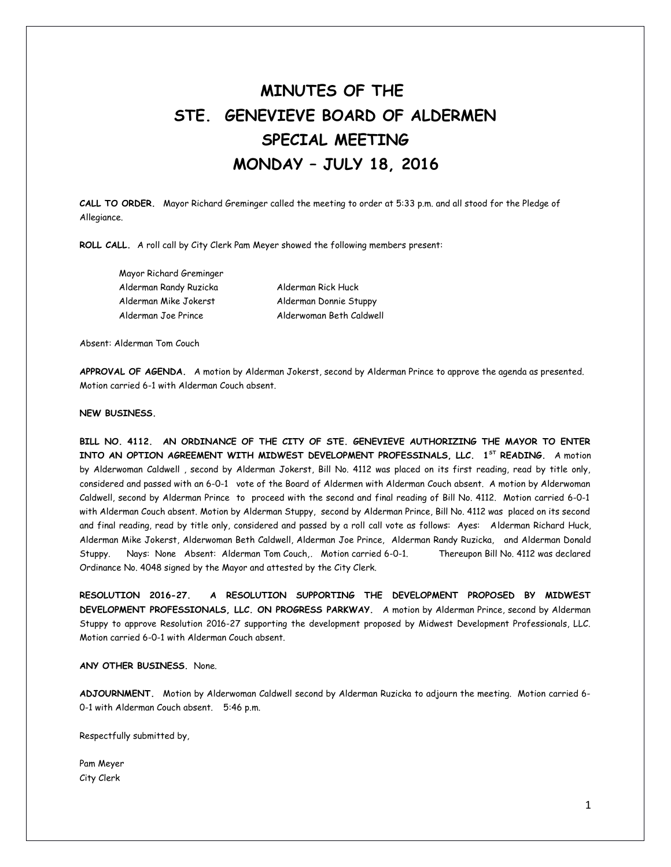## **MINUTES OF THE STE. GENEVIEVE BOARD OF ALDERMEN SPECIAL MEETING MONDAY – JULY 18, 2016**

**CALL TO ORDER.** Mayor Richard Greminger called the meeting to order at 5:33 p.m. and all stood for the Pledge of Allegiance.

**ROLL CALL.** A roll call by City Clerk Pam Meyer showed the following members present:

Mayor Richard Greminger Alderman Randy Ruzicka Alderman Rick Huck Alderman Mike Jokerst Alderman Donnie Stuppy Alderman Joe Prince Alderwoman Beth Caldwell

Absent: Alderman Tom Couch

**APPROVAL OF AGENDA.** A motion by Alderman Jokerst, second by Alderman Prince to approve the agenda as presented. Motion carried 6-1 with Alderman Couch absent.

## **NEW BUSINESS.**

**BILL NO. 4112. AN ORDINANCE OF THE CITY OF STE. GENEVIEVE AUTHORIZING THE MAYOR TO ENTER INTO AN OPTION AGREEMENT WITH MIDWEST DEVELOPMENT PROFESSINALS, LLC. 1ST READING.** A motion by Alderwoman Caldwell , second by Alderman Jokerst, Bill No. 4112 was placed on its first reading, read by title only, considered and passed with an 6-0-1 vote of the Board of Aldermen with Alderman Couch absent. A motion by Alderwoman Caldwell, second by Alderman Prince to proceed with the second and final reading of Bill No. 4112. Motion carried 6-0-1 with Alderman Couch absent. Motion by Alderman Stuppy, second by Alderman Prince, Bill No. 4112 was placed on its second and final reading, read by title only, considered and passed by a roll call vote as follows: Ayes: Alderman Richard Huck, Alderman Mike Jokerst, Alderwoman Beth Caldwell, Alderman Joe Prince, Alderman Randy Ruzicka, and Alderman Donald Stuppy. Nays: None Absent: Alderman Tom Couch,. Motion carried 6-0-1. Thereupon Bill No. 4112 was declared Ordinance No. 4048 signed by the Mayor and attested by the City Clerk.

**RESOLUTION 2016-27. A RESOLUTION SUPPORTING THE DEVELOPMENT PROPOSED BY MIDWEST DEVELOPMENT PROFESSIONALS, LLC. ON PROGRESS PARKWAY.** A motion by Alderman Prince, second by Alderman Stuppy to approve Resolution 2016-27 supporting the development proposed by Midwest Development Professionals, LLC. Motion carried 6-0-1 with Alderman Couch absent.

## **ANY OTHER BUSINESS.** None.

**ADJOURNMENT.** Motion by Alderwoman Caldwell second by Alderman Ruzicka to adjourn the meeting. Motion carried 6- 0-1 with Alderman Couch absent. 5:46 p.m.

Respectfully submitted by,

Pam Meyer City Clerk